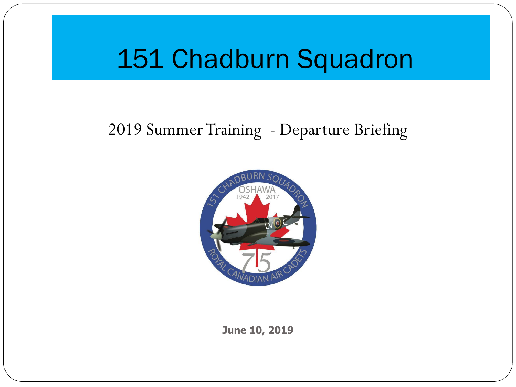## 151 Chadburn Squadron

### 2019 Summer Training - Departure Briefing



**June 10, 2019**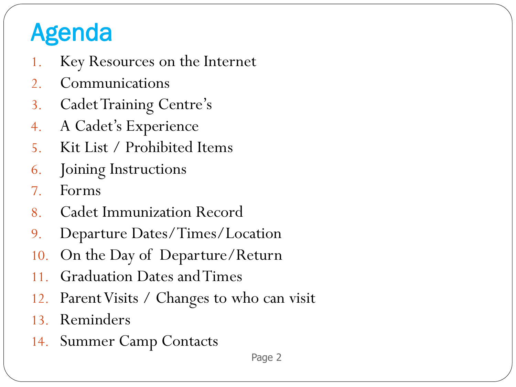## Agenda

- 1. Key Resources on the Internet
- 2. Communications
- 3. Cadet Training Centre's
- 4. A Cadet's Experience
- 5. Kit List / Prohibited Items
- 6. Joining Instructions
- 7. Forms
- 8. Cadet Immunization Record
- 9. Departure Dates/Times/Location
- 10. On the Day of Departure/Return
- 11. Graduation Dates and Times
- 12. Parent Visits / Changes to who can visit
- 13. Reminders
- 14. Summer Camp Contacts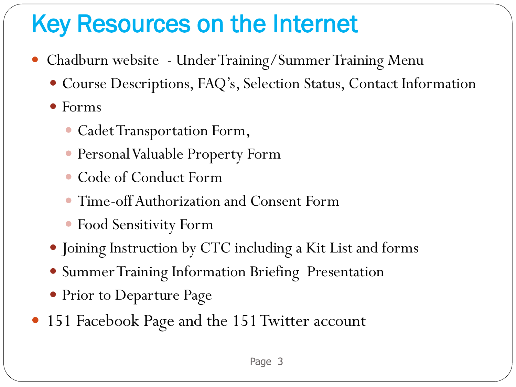## Key Resources on the Internet

- Chadburn website Under Training/Summer Training Menu
	- Course Descriptions, FAQ's, Selection Status, Contact Information
	- Forms
		- Cadet Transportation Form,
		- Personal Valuable Property Form
		- Code of Conduct Form
		- Time-offAuthorization and Consent Form
		- Food Sensitivity Form
	- Joining Instruction by CTC including a Kit List and forms
	- Summer Training Information Briefing Presentation
	- Prior to Departure Page
- 151 Facebook Page and the 151 Twitter account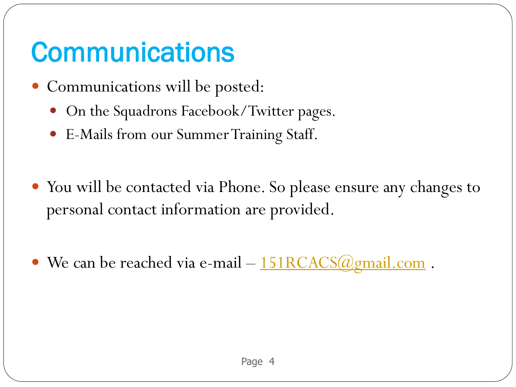# **Communications**

- Communications will be posted:
	- On the Squadrons Facebook/Twitter pages.
	- E-Mails from our Summer Training Staff.
- You will be contacted via Phone. So please ensure any changes to personal contact information are provided.
- We can be reached via e-mail [151RCACS@gmail.com](mailto:151RCACS@gmail.com).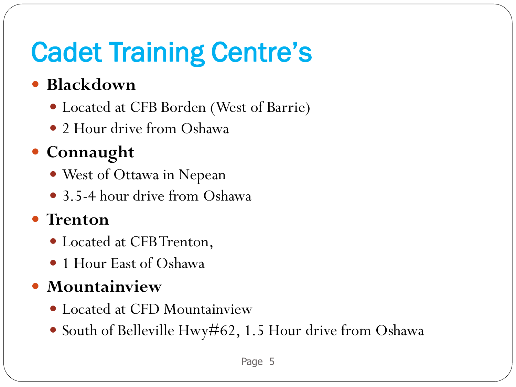# Cadet Training Centre's

### **Blackdown**

- Located at CFB Borden (West of Barrie)
- 2 Hour drive from Oshawa

### **Connaught**

- West of Ottawa in Nepean
- 3.5-4 hour drive from Oshawa

### **Trenton**

- Located at CFB Trenton,
- 1 Hour East of Oshawa

### **Mountainview**

- Located at CFD Mountainview
- South of Belleville Hwy#62, 1.5 Hour drive from Oshawa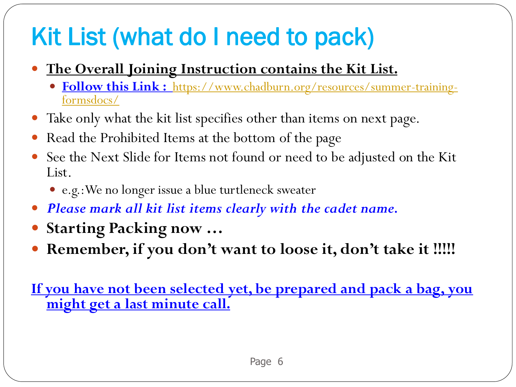## Kit List (what do I need to pack)

- **The Overall Joining Instruction contains the Kit List.** 
	- **Follow this Link :** [https://www.chadburn.org/resources/summer-training](https://www.chadburn.org/resources/summer-training-formsdocs/)formsdocs/
- Take only what the kit list specifies other than items on next page.
- Read the Prohibited Items at the bottom of the page
- See the Next Slide for Items not found or need to be adjusted on the Kit List.
	- e.g.:We no longer issue a blue turtleneck sweater
- *Please mark all kit list items clearly with the cadet name.*
- **Starting Packing now …**
- **Remember, if you don't want to loose it, don't take it !!!!!**

**If you have not been selected yet, be prepared and pack a bag, you might get a last minute call.**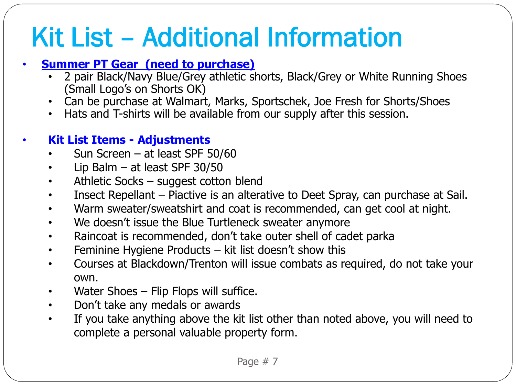# Kit List – Additional Information

#### • **Summer PT Gear (need to purchase)**

- 2 pair Black/Navy Blue/Grey athletic shorts, Black/Grey or White Running Shoes (Small Logo's on Shorts OK)
- Can be purchase at Walmart, Marks, Sportschek, Joe Fresh for Shorts/Shoes
- Hats and T-shirts will be available from our supply after this session.

#### • **Kit List Items - Adjustments**

- Sun Screen at least SPF 50/60
- Lip Balm  $-$  at least SPF 30/50
- Athletic Socks suggest cotton blend
- Insect Repellant Piactive is an alterative to Deet Spray, can purchase at Sail.
- Warm sweater/sweatshirt and coat is recommended, can get cool at night.
- We doesn't issue the Blue Turtleneck sweater anymore
- Raincoat is recommended, don't take outer shell of cadet parka
- Feminine Hygiene Products kit list doesn't show this
- Courses at Blackdown/Trenton will issue combats as required, do not take your own.
- Water Shoes Flip Flops will suffice.
- Don't take any medals or awards
- If you take anything above the kit list other than noted above, you will need to complete a personal valuable property form.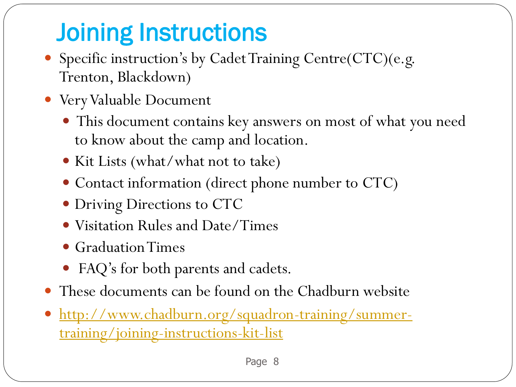## Joining Instructions

- Specific instruction's by Cadet Training Centre(CTC)(e.g. Trenton, Blackdown)
- Very Valuable Document
	- This document contains key answers on most of what you need to know about the camp and location.
	- Kit Lists (what/what not to take)
	- Contact information (direct phone number to CTC)
	- Driving Directions to CTC
	- Visitation Rules and Date/Times
	- Graduation Times
	- FAQ's for both parents and cadets.
- These documents can be found on the Chadburn website
- [http://www.chadburn.org/squadron-training/summer](http://www.chadburn.org/squadron-training/summer-training/joining-instructions-kit-list)training/joining-instructions-kit-list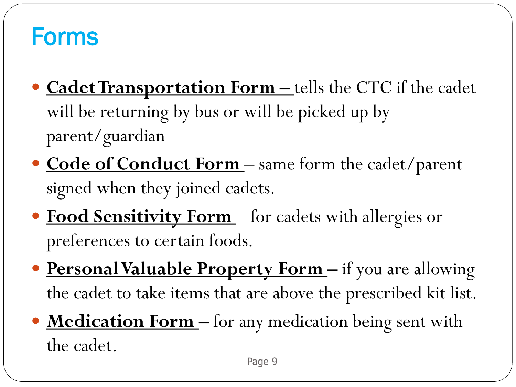## Forms

- **Cadet Transportation Form** tells the CTC if the cadet will be returning by bus or will be picked up by parent/guardian
- **Code of Conduct Form** same form the cadet/parent signed when they joined cadets.
- **Food Sensitivity Form**  for cadets with allergies or preferences to certain foods.
- **Personal Valuable Property Form –** if you are allowing the cadet to take items that are above the prescribed kit list.
- **Medication Form –** for any medication being sent with the cadet.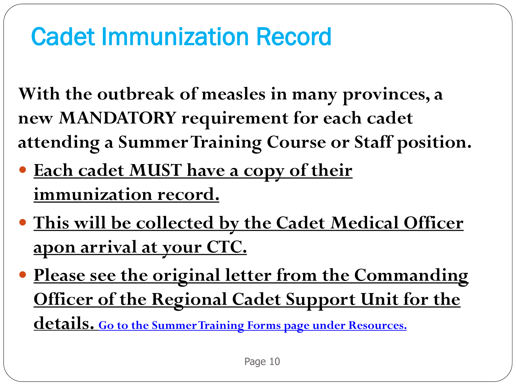## Cadet Immunization Record

**With the outbreak of measles in many provinces, a new MANDATORY requirement for each cadet attending a Summer Training Course or Staff position.** 

- **Each cadet MUST have a copy of their immunization record.**
- **This will be collected by the Cadet Medical Officer apon arrival at your CTC.**
- **Please see the original letter from the Commanding Officer of the Regional Cadet Support Unit for the details. Go to the Summer Training Forms page under Resources.**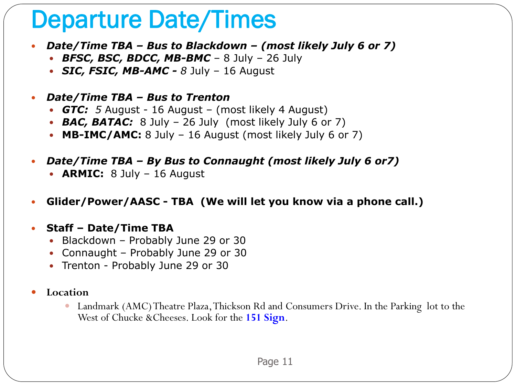## Departure Date/Times

- *Date/Time TBA – Bus to Blackdown – (most likely July 6 or 7)*
	- *BFSC, BSC, BDCC, MB-BMC*  8 July 26 July
	- *SIC, FSIC, MB-AMC - 8* July 16 August
- *Date/Time TBA – Bus to Trenton* 
	- *GTC: 5* August 16 August (most likely 4 August)
	- **BAC, BATAC:** 8 July 26 July (most likely July 6 or 7)
	- **MB-IMC/AMC:** 8 July 16 August (most likely July 6 or 7)
- *Date/Time TBA – By Bus to Connaught (most likely July 6 or7)*
	- **ARMIC:** 8 July 16 August
- **Glider/Power/AASC - TBA (We will let you know via a phone call.)**
- **Staff – Date/Time TBA** 
	- Blackdown Probably June 29 or 30
	- Connaught Probably June 29 or 30
	- Trenton Probably June 29 or 30
- **Location**
	- Landmark (AMC) Theatre Plaza, Thickson Rd and Consumers Drive. In the Parking lot to the West of Chucke &Cheeses. Look for the **151 Sign**.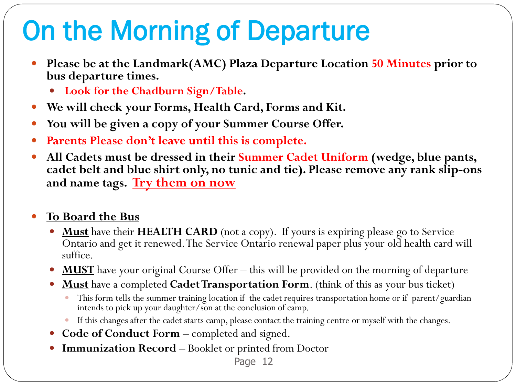# On the Morning of Departure

- **Please be at the Landmark(AMC) Plaza Departure Location 50 Minutes prior to bus departure times.** 
	- **Look for the Chadburn Sign/Table.**
- **We will check your Forms, Health Card, Forms and Kit.**
- **You will be given a copy of your Summer Course Offer.**
- **Parents Please don't leave until this is complete.**
- **All Cadets must be dressed in their Summer Cadet Uniform (wedge, blue pants, cadet belt and blue shirt only, no tunic and tie). Please remove any rank slip-ons and name tags. Try them on now**

#### **To Board the Bus**

- **Must** have their **HEALTH CARD** (not a copy). If yours is expiring please go to Service Ontario and get it renewed. The Service Ontario renewal paper plus your old health card will suffice.
- **MUST** have your original Course Offer this will be provided on the morning of departure
- **Must** have a completed **Cadet Transportation Form**. (think of this as your bus ticket)
	- This form tells the summer training location if the cadet requires transportation home or if parent/guardian intends to pick up your daughter/son at the conclusion of camp.
	- If this changes after the cadet starts camp, please contact the training centre or myself with the changes.
- **Code of Conduct Form** completed and signed.
- **Immunization Record** Booklet or printed from Doctor

Page 12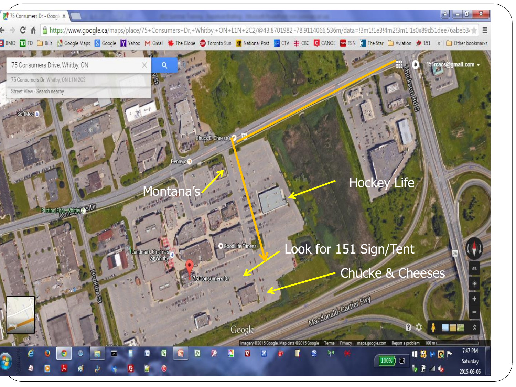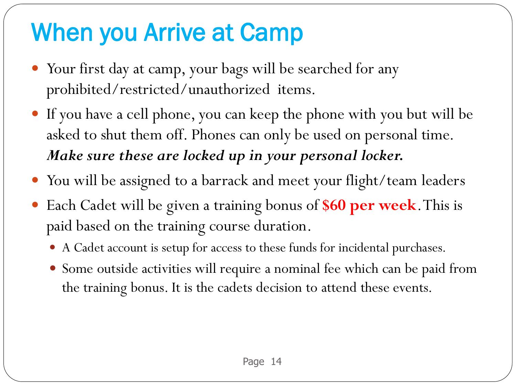## When you Arrive at Camp

- Your first day at camp, your bags will be searched for any prohibited/restricted/unauthorized items.
- If you have a cell phone, you can keep the phone with you but will be asked to shut them off. Phones can only be used on personal time. *Make sure these are locked up in your personal locker.*
- You will be assigned to a barrack and meet your flight/team leaders
- Each Cadet will be given a training bonus of **\$60 per week**. This is paid based on the training course duration.
	- A Cadet account is setup for access to these funds for incidental purchases.
	- Some outside activities will require a nominal fee which can be paid from the training bonus. It is the cadets decision to attend these events.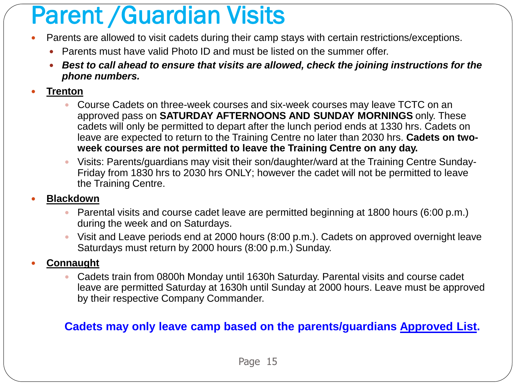## Parent /Guardian Visits

- Parents are allowed to visit cadets during their camp stays with certain restrictions/exceptions.
	- Parents must have valid Photo ID and must be listed on the summer offer.
	- *Best to call ahead to ensure that visits are allowed, check the joining instructions for the phone numbers.*
- **Trenton** 
	- Course Cadets on three-week courses and six-week courses may leave TCTC on an approved pass on **SATURDAY AFTERNOONS AND SUNDAY MORNINGS** only. These cadets will only be permitted to depart after the lunch period ends at 1330 hrs. Cadets on leave are expected to return to the Training Centre no later than 2030 hrs. **Cadets on twoweek courses are not permitted to leave the Training Centre on any day.**
	- Visits: Parents/guardians may visit their son/daughter/ward at the Training Centre Sunday-Friday from 1830 hrs to 2030 hrs ONLY; however the cadet will not be permitted to leave the Training Centre.

#### **Blackdown**

- Parental visits and course cadet leave are permitted beginning at 1800 hours (6:00 p.m.) during the week and on Saturdays.
- Visit and Leave periods end at 2000 hours (8:00 p.m.). Cadets on approved overnight leave Saturdays must return by 2000 hours (8:00 p.m.) Sunday.

#### **Connaught**

 Cadets train from 0800h Monday until 1630h Saturday. Parental visits and course cadet leave are permitted Saturday at 1630h until Sunday at 2000 hours. Leave must be approved by their respective Company Commander.

#### **Cadets may only leave camp based on the parents/guardians Approved List.**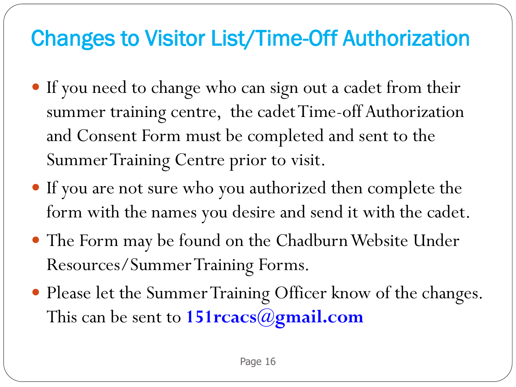## Changes to Visitor List/Time-Off Authorization

- If you need to change who can sign out a cadet from their summer training centre, the cadet Time-off Authorization and Consent Form must be completed and sent to the Summer Training Centre prior to visit.
- If you are not sure who you authorized then complete the form with the names you desire and send it with the cadet.
- The Form may be found on the Chadburn Website Under Resources/Summer Training Forms.
- Please let the Summer Training Officer know of the changes. This can be sent to **151rcacs@gmail.com**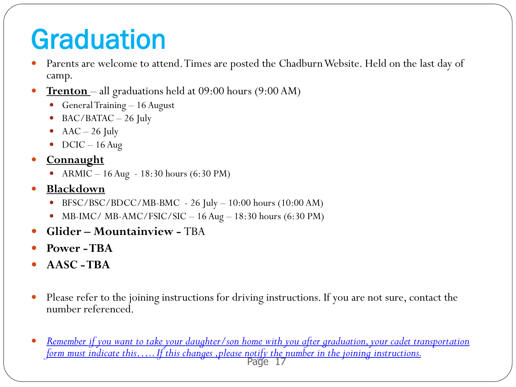# **Graduation**

- Parents are welcome to attend. Times are posted the Chadburn Website. Held on the last day of camp.
- **Trenton**  all graduations held at 09:00 hours (9:00 AM)
	- General Training 16 August
	- $\bullet$  BAC/BATAC  $-$  26 July
	- $\text{AAC} 26 \text{ July}$
	- $\bullet$  DCIC 16 Aug
- **Connaught**
	- ARMIC 16 Aug 18:30 hours (6:30 PM)
- **Blackdown** 
	- $\bullet$  BFSC/BSC/BDCC/MB-BMC 26 July 10:00 hours (10:00 AM)
	- MB-IMC/ MB-AMC/FSIC/SIC  $-16$  Aug  $-18:30$  hours (6:30 PM)
- **Glider – Mountainview -** TBA
- **Power -TBA**
- **AASC -TBA**
- Please refer to the joining instructions for driving instructions. If you are not sure, contact the number referenced.
- Page 17 *Remember if you want to take your daughter/son home with you after graduation, your cadet transportation form must indicate this….. If this changes ,please notify the number in the joining instructions.*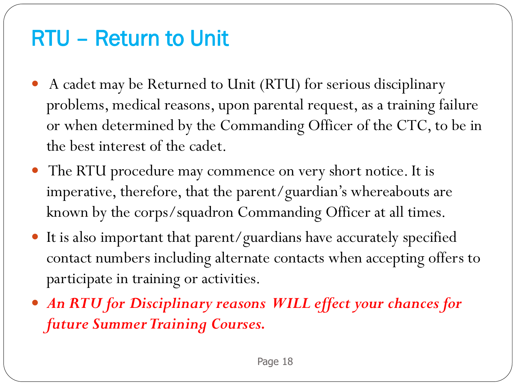### RTU – Return to Unit

- A cadet may be Returned to Unit (RTU) for serious disciplinary problems, medical reasons, upon parental request, as a training failure or when determined by the Commanding Officer of the CTC, to be in the best interest of the cadet.
- The RTU procedure may commence on very short notice. It is imperative, therefore, that the parent/guardian's whereabouts are known by the corps/squadron Commanding Officer at all times.
- It is also important that parent/guardians have accurately specified contact numbers including alternate contacts when accepting offers to participate in training or activities.
- *An RTU for Disciplinary reasons WILL effect your chances for future Summer Training Courses.*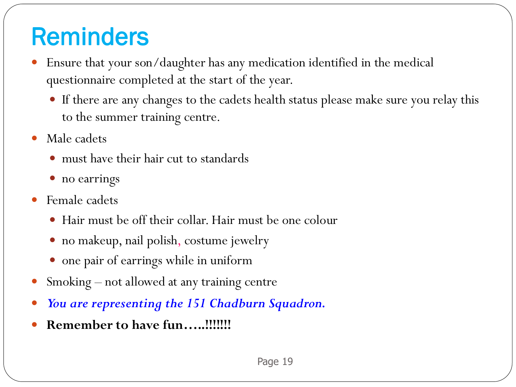## Reminders

- Ensure that your son/daughter has any medication identified in the medical questionnaire completed at the start of the year.
	- If there are any changes to the cadets health status please make sure you relay this to the summer training centre.
- Male cadets
	- must have their hair cut to standards
	- no earrings
- Female cadets
	- Hair must be off their collar. Hair must be one colour
	- no makeup, nail polish, costume jewelry
	- one pair of earrings while in uniform
- Smoking not allowed at any training centre
- *You are representing the 151 Chadburn Squadron.*
- **Remember to have fun…..!!!!!!!**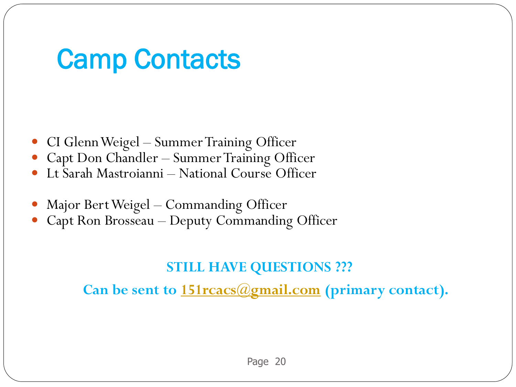## Camp Contacts

- CI Glenn Weigel Summer Training Officer
- Capt Don Chandler Summer Training Officer
- Lt Sarah Mastroianni National Course Officer
- Major Bert Weigel Commanding Officer
- Capt Ron Brosseau Deputy Commanding Officer

### **STILL HAVE QUESTIONS ???**

**Can be sent to [151rcacs@gmail.com](mailto:151rcacs@gmail.com) (primary contact).**